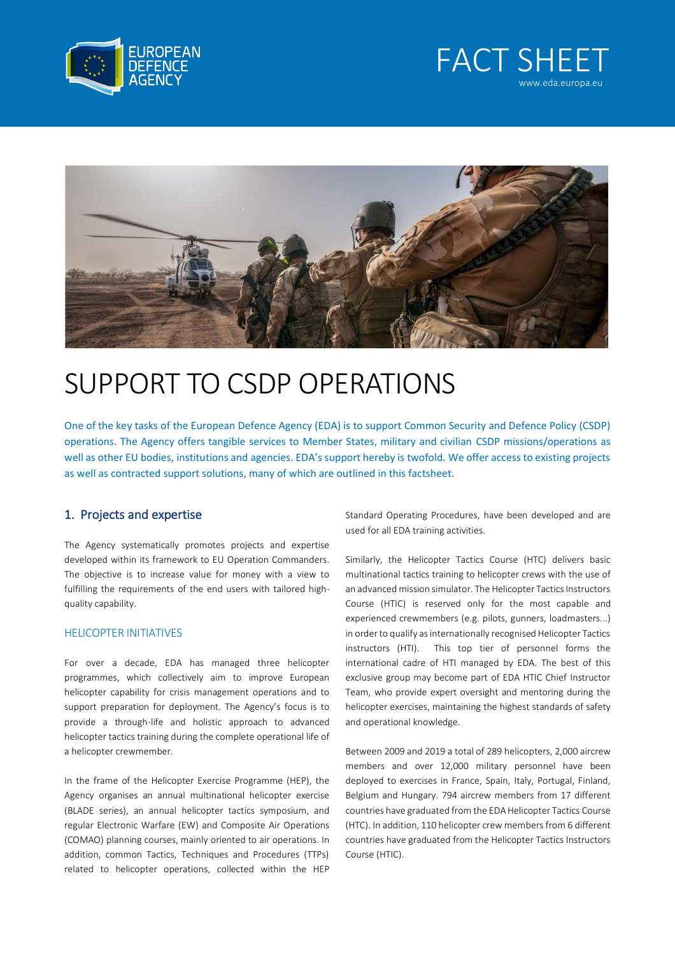





# SUPPORT TO CSDP OPERATIONS

One of the key tasks of the European Defence Agency (EDA) is to support Common Security and Defence Policy (CSDP) operations. The Agency offers tangible services to Member States, military and civilian CSDP missions/operations as well as other EU bodies, institutions and agencies. EDA's support hereby is twofold. We offer access to existing projects as well as contracted support solutions, many of which are outlined in this factsheet.

## 1. Projects and expertise

The Agency systematically promotes projects and expertise developed within its framework to EU Operation Commanders. The objective is to increase value for money with a view to fulfilling the requirements of the end users with tailored highquality capability.

#### HELICOPTER INITIATIVES

For over a decade, EDA has managed three helicopter programmes, which collectively aim to improve European helicopter capability for crisis management operations and to support preparation for deployment. The Agency's focus is to provide a through-life and holistic approach to advanced helicopter tactics training during the complete operational life of a helicopter crewmember.

In the frame of the Helicopter Exercise Programme (HEP), the Agency organises an annual multinational helicopter exercise (BLADE series), an annual helicopter tactics symposium, and regular Electronic Warfare (EW) and Composite Air Operations (COMAO) planning courses, mainly oriented to air operations. In addition, common Tactics, Techniques and Procedures (TTPs) related to helicopter operations, collected within the HEP

Standard Operating Procedures, have been developed and are used for all EDA training activities.

Similarly, the Helicopter Tactics Course (HTC) delivers basic multinational tactics training to helicopter crews with the use of an advanced mission simulator. The Helicopter Tactics Instructors Course (HTIC) is reserved only for the most capable and experienced crewmembers (e.g. pilots, gunners, loadmasters...) in order to qualify as internationally recognised Helicopter Tactics instructors (HTI). This top tier of personnel forms the international cadre of HTI managed by EDA. The best of this exclusive group may become part of EDA HTIC Chief Instructor Team, who provide expert oversight and mentoring during the helicopter exercises, maintaining the highest standards of safety and operational knowledge.

Between 2009 and 2019 a total of 289 helicopters, 2,000 aircrew members and over 12,000 military personnel have been deployed to exercises in France, Spain, Italy, Portugal, Finland, Belgium and Hungary. 794 aircrew members from 17 different countries have graduated from the EDA Helicopter Tactics Course (HTC). In addition, 110 helicopter crew members from 6 different countries have graduated from the Helicopter Tactics Instructors Course (HTIC).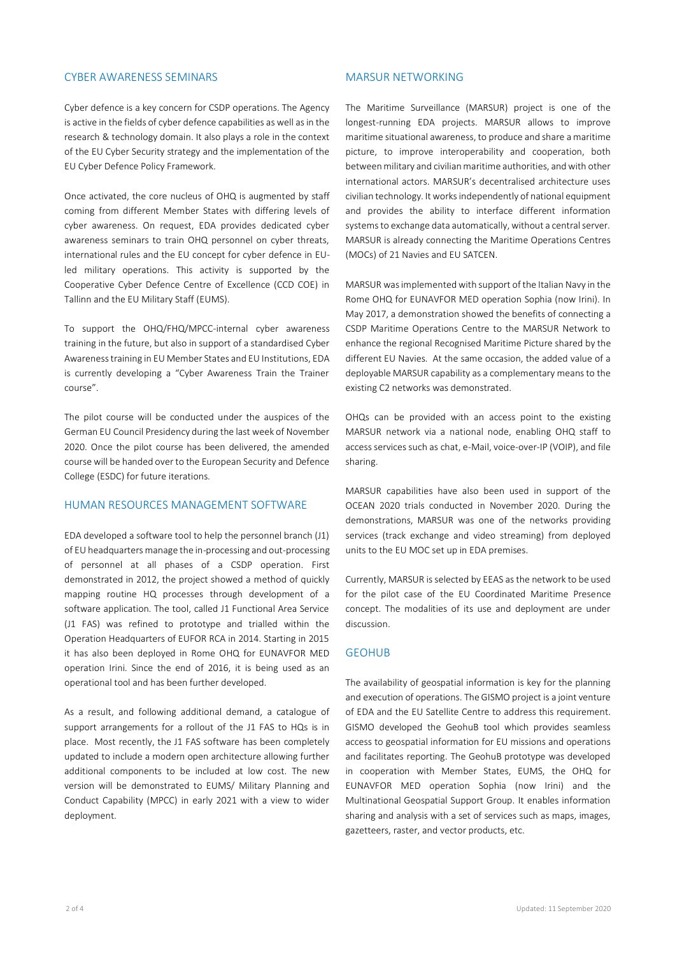#### CYBER AWARENESS SEMINARS

Cyber defence is a key concern for CSDP operations. The Agency is active in the fields of cyber defence capabilities as well as in the research & technology domain. It also plays a role in the context of the EU Cyber Security strategy and the implementation of the EU Cyber Defence Policy Framework.

Once activated, the core nucleus of OHQ is augmented by staff coming from different Member States with differing levels of cyber awareness. On request, EDA provides dedicated cyber awareness seminars to train OHQ personnel on cyber threats, international rules and the EU concept for cyber defence in EUled military operations. This activity is supported by the Cooperative Cyber Defence Centre of Excellence (CCD COE) in Tallinn and the EU Military Staff (EUMS).

To support the OHQ/FHQ/MPCC-internal cyber awareness training in the future, but also in support of a standardised Cyber Awareness training in EU Member States and EU Institutions, EDA is currently developing a "Cyber Awareness Train the Trainer course".

The pilot course will be conducted under the auspices of the German EU Council Presidency during the last week of November 2020. Once the pilot course has been delivered, the amended course will be handed over to the European Security and Defence College (ESDC) for future iterations.

#### HUMAN RESOURCES MANAGEMENT SOFTWARE

EDA developed a software tool to help the personnel branch (J1) of EU headquarters manage the in-processing and out-processing of personnel at all phases of a CSDP operation. First demonstrated in 2012, the project showed a method of quickly mapping routine HQ processes through development of a software application. The tool, called J1 Functional Area Service (J1 FAS) was refined to prototype and trialled within the Operation Headquarters of EUFOR RCA in 2014. Starting in 2015 it has also been deployed in Rome OHQ for EUNAVFOR MED operation Irini. Since the end of 2016, it is being used as an operational tool and has been further developed.

As a result, and following additional demand, a catalogue of support arrangements for a rollout of the J1 FAS to HQs is in place. Most recently, the J1 FAS software has been completely updated to include a modern open architecture allowing further additional components to be included at low cost. The new version will be demonstrated to EUMS/ Military Planning and Conduct Capability (MPCC) in early 2021 with a view to wider deployment.

#### MARSUR NETWORKING

The Maritime Surveillance (MARSUR) project is one of the longest-running EDA projects. MARSUR allows to improve maritime situational awareness, to produce and share a maritime picture, to improve interoperability and cooperation, both between military and civilian maritime authorities, and with other international actors. MARSUR's decentralised architecture uses civilian technology. It works independently of national equipment and provides the ability to interface different information systems to exchange data automatically, without a central server. MARSUR is already connecting the Maritime Operations Centres (MOCs) of 21 Navies and EU SATCEN.

MARSUR was implemented with support of the Italian Navy in the Rome OHQ for EUNAVFOR MED operation Sophia (now Irini). In May 2017, a demonstration showed the benefits of connecting a CSDP Maritime Operations Centre to the MARSUR Network to enhance the regional Recognised Maritime Picture shared by the different EU Navies. At the same occasion, the added value of a deployable MARSUR capability as a complementary means to the existing C2 networks was demonstrated.

OHQs can be provided with an access point to the existing MARSUR network via a national node, enabling OHQ staff to access services such as chat, e-Mail, voice-over-IP (VOIP), and file sharing.

MARSUR capabilities have also been used in support of the OCEAN 2020 trials conducted in November 2020. During the demonstrations, MARSUR was one of the networks providing services (track exchange and video streaming) from deployed units to the EU MOC set up in EDA premises.

Currently, MARSUR is selected by EEAS as the network to be used for the pilot case of the EU Coordinated Maritime Presence concept. The modalities of its use and deployment are under discussion.

#### GEOHUB

The availability of geospatial information is key for the planning and execution of operations. The GISMO project is a joint venture of EDA and the EU Satellite Centre to address this requirement. GISMO developed the GeohuB tool which provides seamless access to geospatial information for EU missions and operations and facilitates reporting. The GeohuB prototype was developed in cooperation with Member States, EUMS, the OHQ for EUNAVFOR MED operation Sophia (now Irini) and the Multinational Geospatial Support Group. It enables information sharing and analysis with a set of services such as maps, images, gazetteers, raster, and vector products, etc.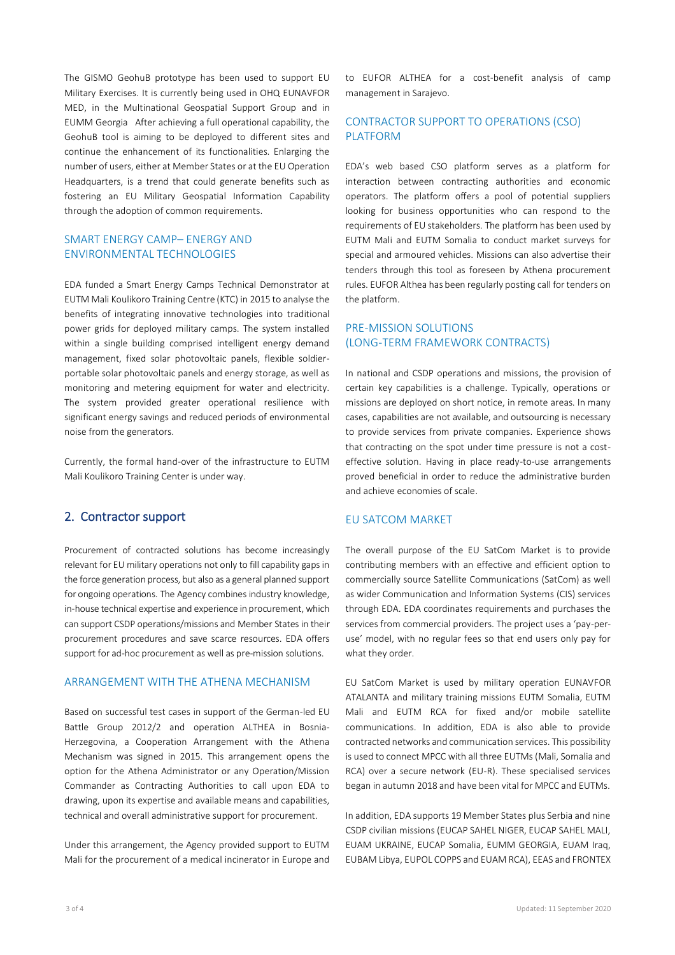The GISMO GeohuB prototype has been used to support EU Military Exercises. It is currently being used in OHQ EUNAVFOR MED, in the Multinational Geospatial Support Group and in EUMM Georgia After achieving a full operational capability, the GeohuB tool is aiming to be deployed to different sites and continue the enhancement of its functionalities. Enlarging the number of users, either at Member States or at the EU Operation Headquarters, is a trend that could generate benefits such as fostering an EU Military Geospatial Information Capability through the adoption of common requirements.

### SMART ENERGY CAMP– ENERGY AND ENVIRONMENTAL TECHNOLOGIES

EDA funded a Smart Energy Camps Technical Demonstrator at EUTM Mali Koulikoro Training Centre (KTC) in 2015 to analyse the benefits of integrating innovative technologies into traditional power grids for deployed military camps. The system installed within a single building comprised intelligent energy demand management, fixed solar photovoltaic panels, flexible soldierportable solar photovoltaic panels and energy storage, as well as monitoring and metering equipment for water and electricity. The system provided greater operational resilience with significant energy savings and reduced periods of environmental noise from the generators.

Currently, the formal hand-over of the infrastructure to EUTM Mali Koulikoro Training Center is under way.

## 2. Contractor support

Procurement of contracted solutions has become increasingly relevant for EU military operations not only to fill capability gaps in the force generation process, but also as a general planned support for ongoing operations. The Agency combines industry knowledge, in-house technical expertise and experience in procurement, which can support CSDP operations/missions and Member States in their procurement procedures and save scarce resources. EDA offers support for ad-hoc procurement as well as pre-mission solutions.

#### ARRANGEMENT WITH THE ATHENA MECHANISM

Based on successful test cases in support of the German-led EU Battle Group 2012/2 and operation ALTHEA in Bosnia-Herzegovina, a Cooperation Arrangement with the Athena Mechanism was signed in 2015. This arrangement opens the option for the Athena Administrator or any Operation/Mission Commander as Contracting Authorities to call upon EDA to drawing, upon its expertise and available means and capabilities, technical and overall administrative support for procurement.

Under this arrangement, the Agency provided support to EUTM Mali for the procurement of a medical incinerator in Europe and to EUFOR ALTHEA for a cost-benefit analysis of camp management in Sarajevo.

## CONTRACTOR SUPPORT TO OPERATIONS (CSO) PLATFORM

EDA's web based CSO platform serves as a platform for interaction between contracting authorities and economic operators. The platform offers a pool of potential suppliers looking for business opportunities who can respond to the requirements of EU stakeholders. The platform has been used by EUTM Mali and EUTM Somalia to conduct market surveys for special and armoured vehicles. Missions can also advertise their tenders through this tool as foreseen by Athena procurement rules. EUFOR Althea has been regularly posting call for tenders on the platform.

## PRE-MISSION SOLUTIONS (LONG-TERM FRAMEWORK CONTRACTS)

In national and CSDP operations and missions, the provision of certain key capabilities is a challenge. Typically, operations or missions are deployed on short notice, in remote areas. In many cases, capabilities are not available, and outsourcing is necessary to provide services from private companies. Experience shows that contracting on the spot under time pressure is not a costeffective solution. Having in place ready-to-use arrangements proved beneficial in order to reduce the administrative burden and achieve economies of scale.

#### EU SATCOM MARKET

The overall purpose of the EU SatCom Market is to provide contributing members with an effective and efficient option to commercially source Satellite Communications (SatCom) as well as wider Communication and Information Systems (CIS) services through EDA. EDA coordinates requirements and purchases the services from commercial providers. The project uses a 'pay-peruse' model, with no regular fees so that end users only pay for what they order.

EU SatCom Market is used by military operation EUNAVFOR ATALANTA and military training missions EUTM Somalia, EUTM Mali and EUTM RCA for fixed and/or mobile satellite communications. In addition, EDA is also able to provide contracted networks and communication services. This possibility is used to connect MPCC with all three EUTMs (Mali, Somalia and RCA) over a secure network (EU-R). These specialised services began in autumn 2018 and have been vital for MPCC and EUTMs.

In addition, EDA supports 19 Member States plus Serbia and nine CSDP civilian missions (EUCAP SAHEL NIGER, EUCAP SAHEL MALI, EUAM UKRAINE, EUCAP Somalia, EUMM GEORGIA, EUAM Iraq, EUBAM Libya, EUPOL COPPS and EUAM RCA), EEAS and FRONTEX